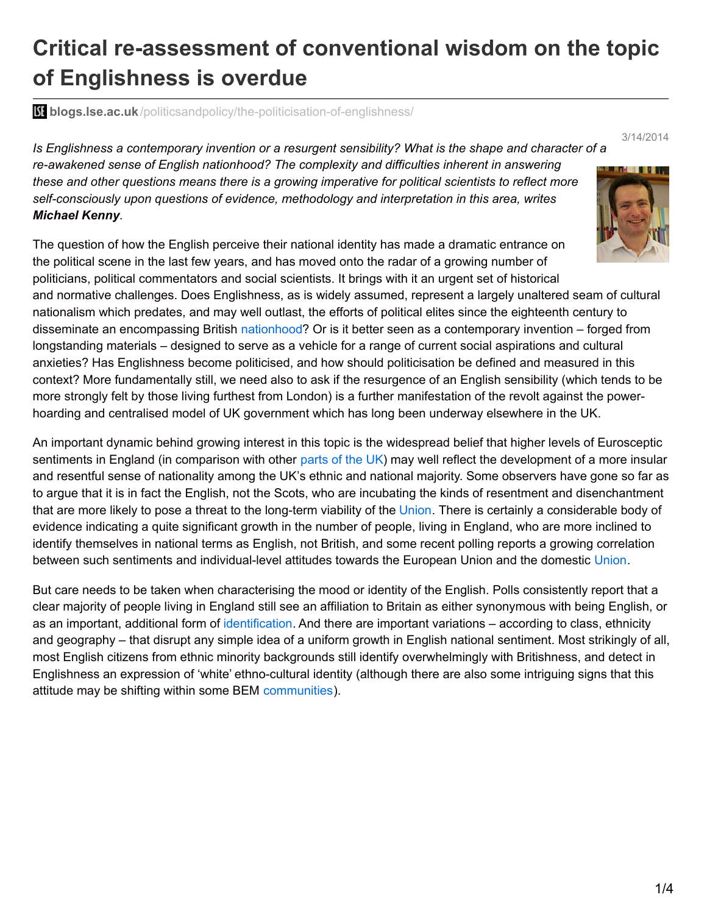## **Critical re-assessment of conventional wisdom on the topic of Englishness is overdue**

**blogs.lse.ac.uk**[/politicsandpolicy/the-politicisation-of-englishness/](http://blogs.lse.ac.uk/politicsandpolicy/the-politicisation-of-englishness/)

*Is Englishness a contemporary invention or a resurgent sensibility? What is the shape and character of a re-awakened sense of English nationhood? The complexity and difficulties inherent in answering these and other questions means there is a growing imperative for political scientists to reflect more self-consciously upon questions of evidence, methodology and interpretation in this area, writes Michael Kenny.*

The question of how the English perceive their national identity has made a dramatic entrance on the political scene in the last few years, and has moved onto the radar of a growing number of politicians, political commentators and social scientists. It brings with it an urgent set of historical



3/14/2014

and normative challenges. Does Englishness, as is widely assumed, represent a largely unaltered seam of cultural nationalism which predates, and may well outlast, the efforts of political elites since the eighteenth century to disseminate an encompassing British [nationhood?](http://www.amazon.co.uk/Acts-Union-Disunion-Linda-Colley/dp/1781251851) Or is it better seen as a contemporary invention – forged from longstanding materials – designed to serve as a vehicle for a range of current social aspirations and cultural anxieties? Has Englishness become politicised, and how should politicisation be defined and measured in this context? More fundamentally still, we need also to ask if the resurgence of an English sensibility (which tends to be more strongly felt by those living furthest from London) is a further manifestation of the revolt against the powerhoarding and centralised model of UK government which has long been underway elsewhere in the UK.

An important dynamic behind growing interest in this topic is the widespread belief that higher levels of Eurosceptic sentiments in England (in comparison with other [parts](http://d25d2506sfb94s.cloudfront.net/cumulus_uploads/document/go1cq5ulbg/YG-Archive-131209-The-Sun-Euro-Results.pdf) of the UK) may well reflect the development of a more insular and resentful sense of nationality among the UK's ethnic and national majority. Some observers have gone so far as to argue that it is in fact the English, not the Scots, who are incubating the kinds of resentment and disenchantment that are more likely to pose a threat to the long-term viability of the [Union](http://www.amazon.co.uk/Nor-Shall-My-Sword-Reinvention/dp/0753809419). There is certainly a considerable body of evidence indicating a quite significant growth in the number of people, living in England, who are more inclined to identify themselves in national terms as English, not British, and some recent polling reports a growing correlation between such sentiments and individual-level attitudes towards the European [Union](http://www.ippr.org/publication/55/11003/england-and-its-two-unions-the-anatomy-of-a-nation-and-its-discontents) and the domestic Union.

But care needs to be taken when characterising the mood or identity of the English. Polls consistently report that a clear majority of people living in England still see an affiliation to Britain as either synonymous with being English, or as an important, additional form of [identification](http://knowledge.sagepub.com/view/british-social-attitudes-25th/n1.xml). And there are important variations – according to class, ethnicity and geography – that disrupt any simple idea of a uniform growth in English national sentiment. Most strikingly of all, most English citizens from ethnic minority backgrounds still identify overwhelmingly with Britishness, and detect in Englishness an expression of 'white' ethno-cultural identity (although there are also some intriguing signs that this attitude may be shifting within some BEM [communities](http://ukcatalogue.oup.com/product/9780199608614.do)).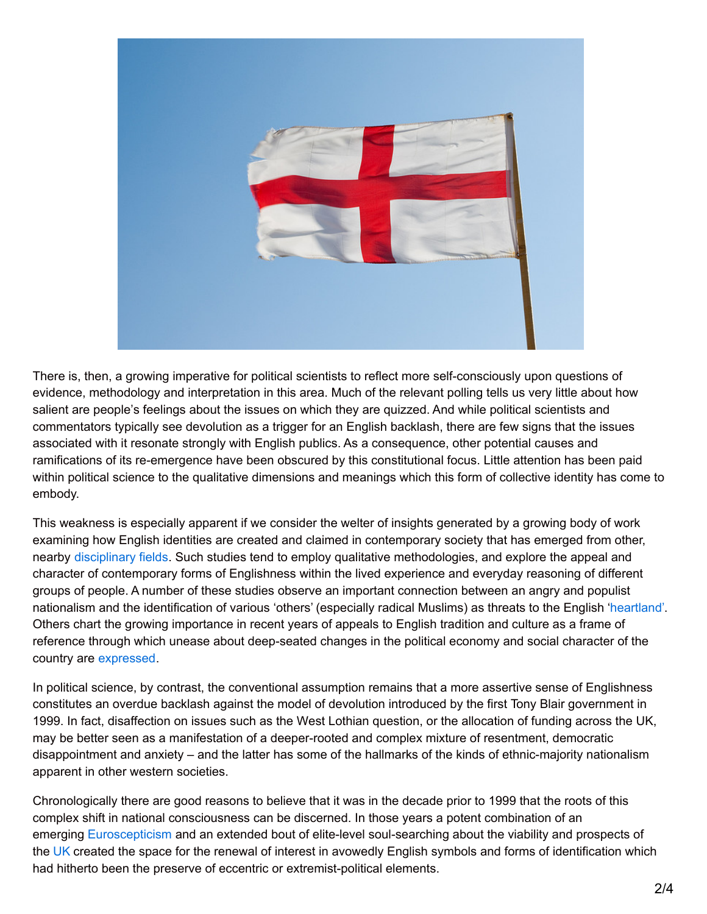

There is, then, a growing imperative for political scientists to reflect more self-consciously upon questions of evidence, methodology and interpretation in this area. Much of the relevant polling tells us very little about how salient are people's feelings about the issues on which they are quizzed. And while political scientists and commentators typically see devolution as a trigger for an English backlash, there are few signs that the issues associated with it resonate strongly with English publics. As a consequence, other potential causes and ramifications of its re-emergence have been obscured by this constitutional focus. Little attention has been paid within political science to the qualitative dimensions and meanings which this form of collective identity has come to embody.

This weakness is especially apparent if we consider the welter of insights generated by a growing body of work examining how English identities are created and claimed in contemporary society that has emerged from other, nearby [disciplinary](http://etn.sagepub.com/content/12/4.toc) fields. Such studies tend to employ qualitative methodologies, and explore the appeal and character of contemporary forms of Englishness within the lived experience and everyday reasoning of different groups of people. A number of these studies observe an important connection between an angry and populist nationalism and the identification of various 'others' (especially radical Muslims) as threats to the English ['heartland'](http://onlinelibrary.wiley.com/doi/10.1111/j.1467-954X.2010.01995.x/abstract). Others chart the growing importance in recent years of appeals to English tradition and culture as a frame of reference through which unease about deep-seated changes in the political economy and social character of the country are [expressed](http://www.amazon.co.uk/National-Belonging-Everyday-Life-Significance/dp/023024761X).

In political science, by contrast, the conventional assumption remains that a more assertive sense of Englishness constitutes an overdue backlash against the model of devolution introduced by the first Tony Blair government in 1999. In fact, disaffection on issues such as the West Lothian question, or the allocation of funding across the UK, may be better seen as a manifestation of a deeper-rooted and complex mixture of resentment, democratic disappointment and anxiety – and the latter has some of the hallmarks of the kinds of ethnic-majority nationalism apparent in other western societies.

Chronologically there are good reasons to believe that it was in the decade prior to 1999 that the roots of this complex shift in national consciousness can be discerned. In those years a potent combination of an emerging [Euroscepticism](http://www.amazon.co.uk/English-Nationalism-Euroscepticism-British-Identities/dp/3034302045) and an extended bout of elite-level soul-searching about the viability and prospects of the [UK](http://www.ippr.org/publication/55/1625/beyond-the-constitution-englishness-in-a-post-devolved-britain) created the space for the renewal of interest in avowedly English symbols and forms of identification which had hitherto been the preserve of eccentric or extremist-political elements.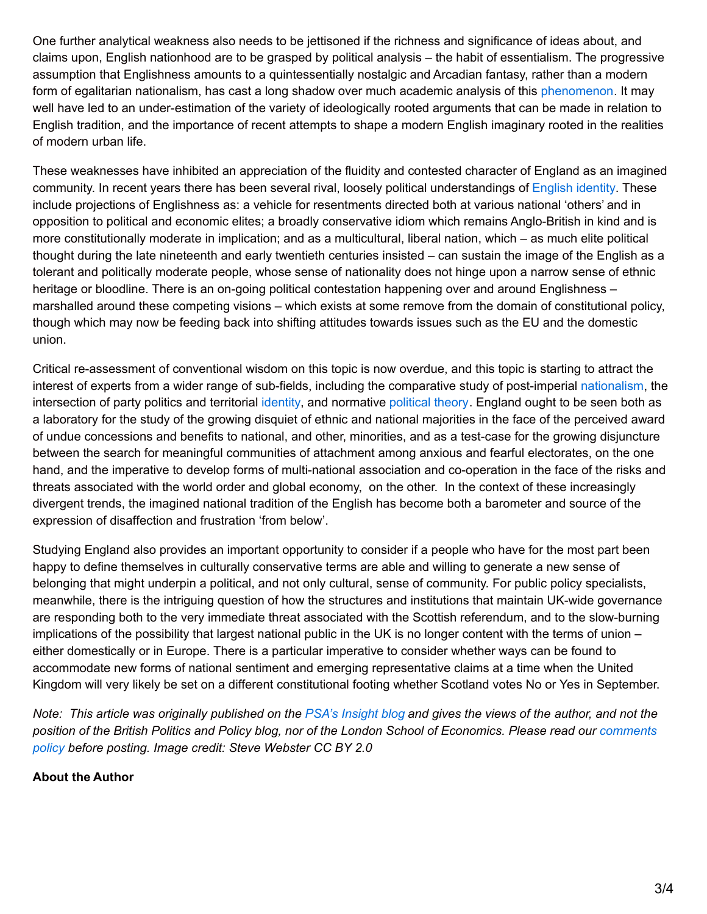One further analytical weakness also needs to be jettisoned if the richness and significance of ideas about, and claims upon, English nationhood are to be grasped by political analysis – the habit of essentialism. The progressive assumption that Englishness amounts to a quintessentially nostalgic and Arcadian fantasy, rather than a modern form of egalitarian nationalism, has cast a long shadow over much academic analysis of this [phenomenon](http://books.google.co.uk/books/about/The_Break_up_of_Britain.html?id=g3GOn2em9pgC&redir_esc=y). It may well have led to an under-estimation of the variety of ideologically rooted arguments that can be made in relation to English tradition, and the importance of recent attempts to shape a modern English imaginary rooted in the realities of modern urban life.

These weaknesses have inhibited an appreciation of the fluidity and contested character of England as an imagined community. In recent years there has been several rival, loosely political understandings of [English](http://onlinelibrary.wiley.com/doi/10.1111/j.1744-540X.2012.00701.x/abstract) identity. These include projections of Englishness as: a vehicle for resentments directed both at various national 'others' and in opposition to political and economic elites; a broadly conservative idiom which remains Anglo-British in kind and is more constitutionally moderate in implication; and as a multicultural, liberal nation, which – as much elite political thought during the late nineteenth and early twentieth centuries insisted – can sustain the image of the English as a tolerant and politically moderate people, whose sense of nationality does not hinge upon a narrow sense of ethnic heritage or bloodline. There is an on-going political contestation happening over and around Englishness – marshalled around these competing visions – which exists at some remove from the domain of constitutional policy, though which may now be feeding back into shifting attitudes towards issues such as the EU and the domestic union.

Critical re-assessment of conventional wisdom on this topic is now overdue, and this topic is starting to attract the interest of experts from a wider range of sub-fields, including the comparative study of post-imperial [nationalism](http://www.google.co.uk/url?sa=t&rct=j&q=&esrc=s&frm=1&source=web&cd=1&ved=0CCoQFjAA&url=http%3A%2F%2Fwww.cambridge.org%2Fgb%2Facademic%2Fsubjects%2Fsociology%2Fpolitical-sociology%2Fmaking-english-national-identity&ei=rvsWU-f7KqOJywPimIHgBw&usg=AFQjCNE3ev53kIChx1S5L6p1Gp0yj_TE1w&bvm=bv.62286460,d.ZG4), the intersection of party politics and territorial [identity](http://onlinelibrary.wiley.com/doi/10.1111/j.1467-856X.2012.00543.x/abstract), and normative [political](http://onlinelibrary.wiley.com/doi/10.1111/j.1467-856X.2011.00462.x/abstract) theory. England ought to be seen both as a laboratory for the study of the growing disquiet of ethnic and national majorities in the face of the perceived award of undue concessions and benefits to national, and other, minorities, and as a test-case for the growing disjuncture between the search for meaningful communities of attachment among anxious and fearful electorates, on the one hand, and the imperative to develop forms of multi-national association and co-operation in the face of the risks and threats associated with the world order and global economy, on the other. In the context of these increasingly divergent trends, the imagined national tradition of the English has become both a barometer and source of the expression of disaffection and frustration 'from below'.

Studying England also provides an important opportunity to consider if a people who have for the most part been happy to define themselves in culturally conservative terms are able and willing to generate a new sense of belonging that might underpin a political, and not only cultural, sense of community. For public policy specialists, meanwhile, there is the intriguing question of how the structures and institutions that maintain UK-wide governance are responding both to the very immediate threat associated with the Scottish referendum, and to the slow-burning implications of the possibility that largest national public in the UK is no longer content with the terms of union – either domestically or in Europe. There is a particular imperative to consider whether ways can be found to accommodate new forms of national sentiment and emerging representative claims at a time when the United Kingdom will very likely be set on a different constitutional footing whether Scotland votes No or Yes in September.

Note: This article was originally published on the PSA's [Insight](http://www.psa.ac.uk/insight-plus/blog/politicisation-englishness) blog and gives the views of the author, and not the position of the British Politics and Policy blog, nor of the London School of [Economics.](http://blogs.lse.ac.uk/politicsandpolicy/about/#Comments_Policy) Please read our comments *policy before posting. Image credit: Steve Webster CC BY 2.0*

## **About the Author**